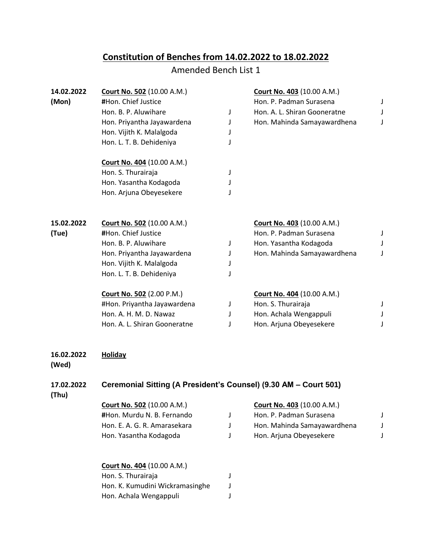## **Constitution of Benches from 14.02.2022 to 18.02.2022**

## Amended Bench List 1

| 14.02.2022          | <b>Court No. 502 (10.00 A.M.)</b>                                |   | <b>Court No. 403 (10.00 A.M.)</b> |   |  |  |
|---------------------|------------------------------------------------------------------|---|-----------------------------------|---|--|--|
| (Mon)               | #Hon. Chief Justice                                              |   | Hon. P. Padman Surasena           | J |  |  |
|                     | Hon. B. P. Aluwihare                                             | J | Hon. A. L. Shiran Gooneratne      | J |  |  |
|                     | Hon. Priyantha Jayawardena                                       | J | Hon. Mahinda Samayawardhena       | J |  |  |
|                     | Hon. Vijith K. Malalgoda                                         | J |                                   |   |  |  |
|                     | Hon. L. T. B. Dehideniya                                         | J |                                   |   |  |  |
|                     | Court No. 404 (10.00 A.M.)                                       |   |                                   |   |  |  |
|                     | Hon. S. Thurairaja                                               | J |                                   |   |  |  |
|                     | Hon. Yasantha Kodagoda                                           |   |                                   |   |  |  |
|                     | Hon. Arjuna Obeyesekere                                          |   |                                   |   |  |  |
| 15.02.2022          | <b>Court No. 502 (10.00 A.M.)</b>                                |   | <b>Court No. 403 (10.00 A.M.)</b> |   |  |  |
| (Tue)               | #Hon. Chief Justice                                              |   | Hon. P. Padman Surasena           | J |  |  |
|                     | Hon. B. P. Aluwihare                                             | J | Hon. Yasantha Kodagoda            | J |  |  |
|                     | Hon. Priyantha Jayawardena                                       | J | Hon. Mahinda Samayawardhena       | J |  |  |
|                     | Hon. Vijith K. Malalgoda                                         | J |                                   |   |  |  |
|                     | Hon. L. T. B. Dehideniya                                         | J |                                   |   |  |  |
|                     | <b>Court No. 502 (2.00 P.M.)</b>                                 |   | <b>Court No. 404 (10.00 A.M.)</b> |   |  |  |
|                     | #Hon. Priyantha Jayawardena                                      | J | Hon. S. Thurairaja                | J |  |  |
|                     | Hon. A. H. M. D. Nawaz                                           | J | Hon. Achala Wengappuli            | J |  |  |
|                     | Hon. A. L. Shiran Gooneratne                                     | J | Hon. Arjuna Obeyesekere           | J |  |  |
| 16.02.2022<br>(Wed) | <b>Holiday</b>                                                   |   |                                   |   |  |  |
| 17.02.2022<br>(Thu) | Ceremonial Sitting (A President's Counsel) (9.30 AM - Court 501) |   |                                   |   |  |  |
|                     | <b>Court No. 502 (10.00 A.M.)</b>                                |   | <b>Court No. 403 (10.00 A.M.)</b> |   |  |  |
|                     | #Hon. Murdu N. B. Fernando                                       | J | Hon. P. Padman Surasena           | J |  |  |
|                     | Hon. E. A. G. R. Amarasekara                                     | J | Hon. Mahinda Samayawardhena       | J |  |  |
|                     | Hon. Yasantha Kodagoda                                           | J | Hon. Arjuna Obeyesekere           | J |  |  |
|                     | <b>Court No. 404 (10.00 A.M.)</b>                                |   |                                   |   |  |  |
|                     | Hon. S. Thurairaja                                               | J |                                   |   |  |  |
|                     | Hon. K. Kumudini Wickramasinghe                                  | J |                                   |   |  |  |
|                     | Hon. Achala Wengappuli                                           | J |                                   |   |  |  |